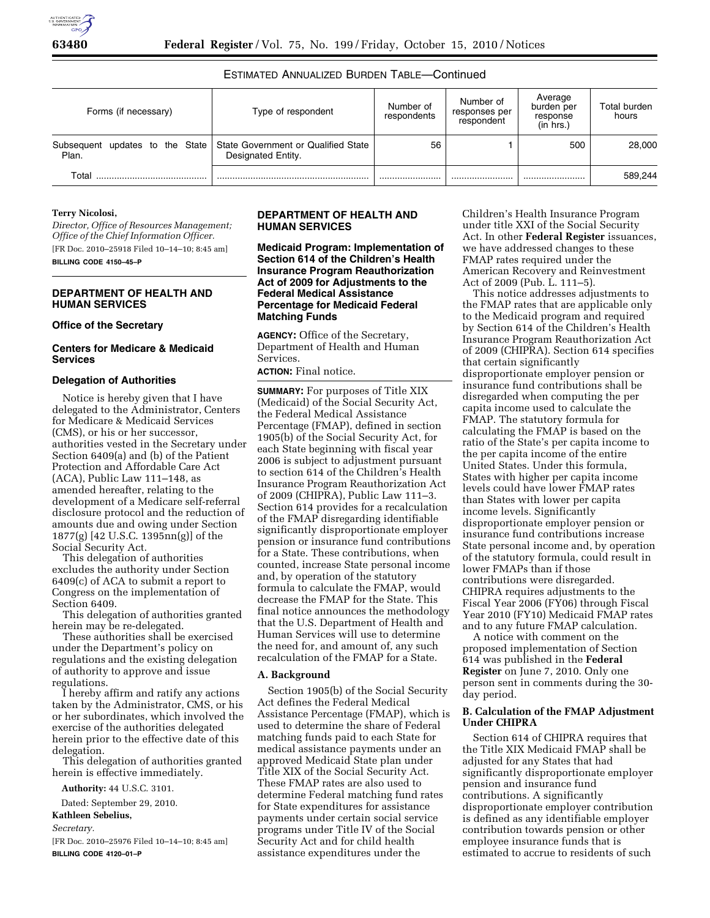# ESTIMATED ANNUALIZED BURDEN TABLE—Continued

| Forms (if necessary) | Type of respondent                                                                          | Number of<br>respondents | Number of<br>responses per<br>respondent | Average<br>burden per<br>response<br>(in hrs.) | Total burden<br>hours |
|----------------------|---------------------------------------------------------------------------------------------|--------------------------|------------------------------------------|------------------------------------------------|-----------------------|
| Plan.                | Subsequent updates to the State   State Government or Qualified State<br>Designated Entity. | 56                       |                                          | 500                                            | 28.000                |
| Total                |                                                                                             |                          |                                          |                                                | 589,244               |

#### **Terry Nicolosi,**

*Director, Office of Resources Management; Office of the Chief Information Officer.*  [FR Doc. 2010–25918 Filed 10–14–10; 8:45 am] **BILLING CODE 4150–45–P** 

## **DEPARTMENT OF HEALTH AND HUMAN SERVICES**

#### **Office of the Secretary**

### **Centers for Medicare & Medicaid Services**

#### **Delegation of Authorities**

Notice is hereby given that I have delegated to the Administrator, Centers for Medicare & Medicaid Services (CMS), or his or her successor, authorities vested in the Secretary under Section 6409(a) and (b) of the Patient Protection and Affordable Care Act (ACA), Public Law 111–148, as amended hereafter, relating to the development of a Medicare self-referral disclosure protocol and the reduction of amounts due and owing under Section 1877(g) [42 U.S.C. 1395nn(g)] of the Social Security Act.

This delegation of authorities excludes the authority under Section 6409(c) of ACA to submit a report to Congress on the implementation of Section 6409.

This delegation of authorities granted herein may be re-delegated.

These authorities shall be exercised under the Department's policy on regulations and the existing delegation of authority to approve and issue regulations.

I hereby affirm and ratify any actions taken by the Administrator, CMS, or his or her subordinates, which involved the exercise of the authorities delegated herein prior to the effective date of this delegation.

This delegation of authorities granted herein is effective immediately.

**Authority:** 44 U.S.C. 3101.

Dated: September 29, 2010.

**Kathleen Sebelius,** 

*Secretary.* 

[FR Doc. 2010–25976 Filed 10–14–10; 8:45 am] **BILLING CODE 4120–01–P** 

#### **DEPARTMENT OF HEALTH AND HUMAN SERVICES**

**Medicaid Program: Implementation of Section 614 of the Children's Health Insurance Program Reauthorization Act of 2009 for Adjustments to the Federal Medical Assistance Percentage for Medicaid Federal Matching Funds** 

**AGENCY:** Office of the Secretary, Department of Health and Human Services.

**ACTION:** Final notice.

**SUMMARY:** For purposes of Title XIX (Medicaid) of the Social Security Act, the Federal Medical Assistance Percentage (FMAP), defined in section 1905(b) of the Social Security Act, for each State beginning with fiscal year 2006 is subject to adjustment pursuant to section 614 of the Children's Health Insurance Program Reauthorization Act of 2009 (CHIPRA), Public Law 111–3. Section 614 provides for a recalculation of the FMAP disregarding identifiable significantly disproportionate employer pension or insurance fund contributions for a State. These contributions, when counted, increase State personal income and, by operation of the statutory formula to calculate the FMAP, would decrease the FMAP for the State. This final notice announces the methodology that the U.S. Department of Health and Human Services will use to determine the need for, and amount of, any such recalculation of the FMAP for a State.

#### **A. Background**

Section 1905(b) of the Social Security Act defines the Federal Medical Assistance Percentage (FMAP), which is used to determine the share of Federal matching funds paid to each State for medical assistance payments under an approved Medicaid State plan under Title XIX of the Social Security Act. These FMAP rates are also used to determine Federal matching fund rates for State expenditures for assistance payments under certain social service programs under Title IV of the Social Security Act and for child health assistance expenditures under the

Children's Health Insurance Program under title XXI of the Social Security Act. In other **Federal Register** issuances, we have addressed changes to these FMAP rates required under the American Recovery and Reinvestment Act of 2009 (Pub. L. 111–5).

This notice addresses adjustments to the FMAP rates that are applicable only to the Medicaid program and required by Section 614 of the Children's Health Insurance Program Reauthorization Act of 2009 (CHIPRA). Section 614 specifies that certain significantly disproportionate employer pension or insurance fund contributions shall be disregarded when computing the per capita income used to calculate the FMAP. The statutory formula for calculating the FMAP is based on the ratio of the State's per capita income to the per capita income of the entire United States. Under this formula, States with higher per capita income levels could have lower FMAP rates than States with lower per capita income levels. Significantly disproportionate employer pension or insurance fund contributions increase State personal income and, by operation of the statutory formula, could result in lower FMAPs than if those contributions were disregarded. CHIPRA requires adjustments to the Fiscal Year 2006 (FY06) through Fiscal Year 2010 (FY10) Medicaid FMAP rates and to any future FMAP calculation.

A notice with comment on the proposed implementation of Section 614 was published in the **Federal Register** on June 7, 2010. Only one person sent in comments during the 30 day period.

### **B. Calculation of the FMAP Adjustment Under CHIPRA**

Section 614 of CHIPRA requires that the Title XIX Medicaid FMAP shall be adjusted for any States that had significantly disproportionate employer pension and insurance fund contributions. A significantly disproportionate employer contribution is defined as any identifiable employer contribution towards pension or other employee insurance funds that is estimated to accrue to residents of such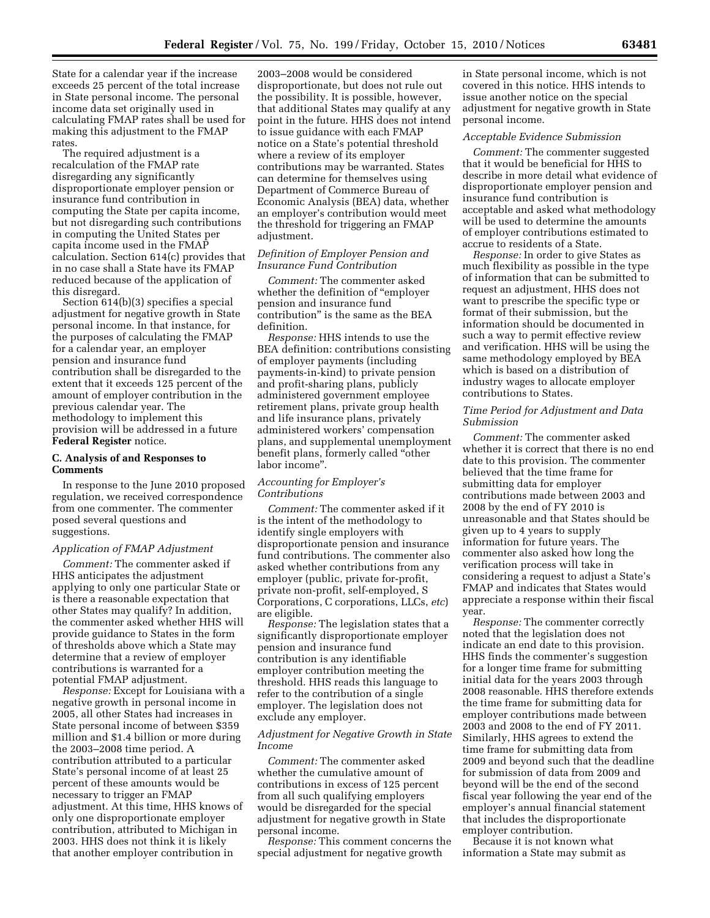State for a calendar year if the increase exceeds 25 percent of the total increase in State personal income. The personal income data set originally used in calculating FMAP rates shall be used for making this adjustment to the FMAP rates.

The required adjustment is a recalculation of the FMAP rate disregarding any significantly disproportionate employer pension or insurance fund contribution in computing the State per capita income, but not disregarding such contributions in computing the United States per capita income used in the FMAP calculation. Section 614(c) provides that in no case shall a State have its FMAP reduced because of the application of this disregard.

Section 614(b)(3) specifies a special adjustment for negative growth in State personal income. In that instance, for the purposes of calculating the FMAP for a calendar year, an employer pension and insurance fund contribution shall be disregarded to the extent that it exceeds 125 percent of the amount of employer contribution in the previous calendar year. The methodology to implement this provision will be addressed in a future **Federal Register** notice.

# **C. Analysis of and Responses to Comments**

In response to the June 2010 proposed regulation, we received correspondence from one commenter. The commenter posed several questions and suggestions.

### *Application of FMAP Adjustment*

*Comment:* The commenter asked if HHS anticipates the adjustment applying to only one particular State or is there a reasonable expectation that other States may qualify? In addition, the commenter asked whether HHS will provide guidance to States in the form of thresholds above which a State may determine that a review of employer contributions is warranted for a potential FMAP adjustment.

*Response:* Except for Louisiana with a negative growth in personal income in 2005, all other States had increases in State personal income of between \$359 million and \$1.4 billion or more during the 2003–2008 time period. A contribution attributed to a particular State's personal income of at least 25 percent of these amounts would be necessary to trigger an FMAP adjustment. At this time, HHS knows of only one disproportionate employer contribution, attributed to Michigan in 2003. HHS does not think it is likely that another employer contribution in

2003–2008 would be considered disproportionate, but does not rule out the possibility. It is possible, however, that additional States may qualify at any point in the future. HHS does not intend to issue guidance with each FMAP notice on a State's potential threshold where a review of its employer contributions may be warranted. States can determine for themselves using Department of Commerce Bureau of Economic Analysis (BEA) data, whether an employer's contribution would meet the threshold for triggering an FMAP adjustment.

### *Definition of Employer Pension and Insurance Fund Contribution*

*Comment:* The commenter asked whether the definition of ''employer pension and insurance fund contribution'' is the same as the BEA definition.

*Response:* HHS intends to use the BEA definition: contributions consisting of employer payments (including payments-in-kind) to private pension and profit-sharing plans, publicly administered government employee retirement plans, private group health and life insurance plans, privately administered workers' compensation plans, and supplemental unemployment benefit plans, formerly called ''other labor income''.

#### *Accounting for Employer's Contributions*

*Comment:* The commenter asked if it is the intent of the methodology to identify single employers with disproportionate pension and insurance fund contributions. The commenter also asked whether contributions from any employer (public, private for-profit, private non-profit, self-employed, S Corporations, C corporations, LLCs, *etc*) are eligible.

*Response:* The legislation states that a significantly disproportionate employer pension and insurance fund contribution is any identifiable employer contribution meeting the threshold. HHS reads this language to refer to the contribution of a single employer. The legislation does not exclude any employer.

#### *Adjustment for Negative Growth in State Income*

*Comment:* The commenter asked whether the cumulative amount of contributions in excess of 125 percent from all such qualifying employers would be disregarded for the special adjustment for negative growth in State personal income.

*Response:* This comment concerns the special adjustment for negative growth

in State personal income, which is not covered in this notice. HHS intends to issue another notice on the special adjustment for negative growth in State personal income.

#### *Acceptable Evidence Submission*

*Comment:* The commenter suggested that it would be beneficial for HHS to describe in more detail what evidence of disproportionate employer pension and insurance fund contribution is acceptable and asked what methodology will be used to determine the amounts of employer contributions estimated to accrue to residents of a State.

*Response:* In order to give States as much flexibility as possible in the type of information that can be submitted to request an adjustment, HHS does not want to prescribe the specific type or format of their submission, but the information should be documented in such a way to permit effective review and verification. HHS will be using the same methodology employed by BEA which is based on a distribution of industry wages to allocate employer contributions to States.

## *Time Period for Adjustment and Data Submission*

*Comment:* The commenter asked whether it is correct that there is no end date to this provision. The commenter believed that the time frame for submitting data for employer contributions made between 2003 and 2008 by the end of FY 2010 is unreasonable and that States should be given up to 4 years to supply information for future years. The commenter also asked how long the verification process will take in considering a request to adjust a State's FMAP and indicates that States would appreciate a response within their fiscal year.

*Response:* The commenter correctly noted that the legislation does not indicate an end date to this provision. HHS finds the commenter's suggestion for a longer time frame for submitting initial data for the years 2003 through 2008 reasonable. HHS therefore extends the time frame for submitting data for employer contributions made between 2003 and 2008 to the end of FY 2011. Similarly, HHS agrees to extend the time frame for submitting data from 2009 and beyond such that the deadline for submission of data from 2009 and beyond will be the end of the second fiscal year following the year end of the employer's annual financial statement that includes the disproportionate employer contribution.

Because it is not known what information a State may submit as